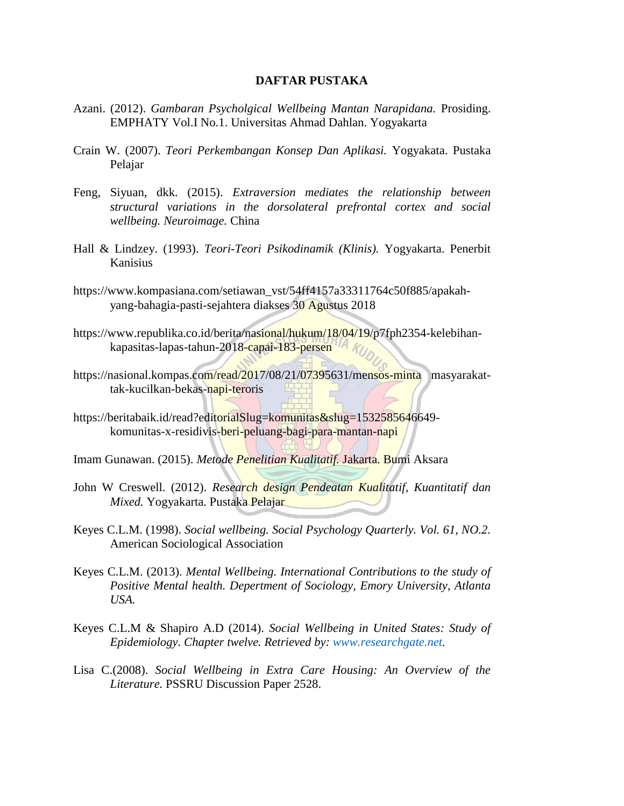## **DAFTAR PUSTAKA**

- Azani. (2012). *Gambaran Psycholgical Wellbeing Mantan Narapidana.* Prosiding. EMPHATY Vol.I No.1. Universitas Ahmad Dahlan. Yogyakarta
- Crain W. (2007). *Teori Perkembangan Konsep Dan Aplikasi.* Yogyakata. Pustaka Pelajar
- Feng, Siyuan, dkk. (2015). *Extraversion mediates the relationship between structural variations in the dorsolateral prefrontal cortex and social wellbeing. Neuroimage.* China
- Hall & Lindzey. (1993). *Teori-Teori Psikodinamik (Klinis).* Yogyakarta. Penerbit Kanisius
- [https://www.kompasiana.com/setiawan\\_vst/54ff4157a33311764c50f885/apakah](https://www.kompasiana.com/setiawan_vst/54ff4157a33311764c50f885/apakah-yang-bahagia-pasti-sejahtera%20diakses%2030%20Agustus%202018)[yang-bahagia-pasti-sejahtera diakses 30 Agustus 2018](https://www.kompasiana.com/setiawan_vst/54ff4157a33311764c50f885/apakah-yang-bahagia-pasti-sejahtera%20diakses%2030%20Agustus%202018)
- [https://www.republika.co.id/berita/nasional/hukum/18/04/19/p7fph2354-kelebihan](https://www.republika.co.id/berita/nasional/hukum/18/04/19/p7fph2354-kelebihan-kapasitas-lapas-tahun-2018-capai-183-persen)[kapasitas-lapas-tahun-2018-capai-183-persen](https://www.republika.co.id/berita/nasional/hukum/18/04/19/p7fph2354-kelebihan-kapasitas-lapas-tahun-2018-capai-183-persen)
- [https://nasional.kompas.com/read/2017/08/21/07395631/mensos-minta masyarakat](https://nasional.kompas.com/read/2017/08/21/07395631/mensos-minta%20masyarakat-tak-kucilkan-bekas-napi-teroris)[tak-kucilkan-bekas-napi-teroris](https://nasional.kompas.com/read/2017/08/21/07395631/mensos-minta%20masyarakat-tak-kucilkan-bekas-napi-teroris)
- https://beritabaik.id/read?editorialSlug=komunitas&slug=1532585646649komunitas-x-residivis-beri-peluang-bagi-para-mantan-napi
- Imam Gunawan. (2015). *Metode Penelitian Kualitatif.* Jakarta. Bumi Aksara
- John W Creswell. (2012). *Research design Pendeatan Kualitatif, Kuantitatif dan Mixed.* Yogyakarta. Pustaka Pelajar
- Keyes C.L.M. (1998). *Social wellbeing. Social Psychology Quarterly. Vol. 61, NO.2.*  American Sociological Association
- Keyes C.L.M. (2013). *Mental Wellbeing. International Contributions to the study of Positive Mental health. Depertment of Sociology, Emory University, Atlanta USA.*
- Keyes C.L.M & Shapiro A.D (2014). *Social Wellbeing in United States: Study of Epidemiology. Chapter twelve. Retrieved by: [www.researchgate.net.](http://www.researchgate.net/)*
- Lisa C.(2008). *Social Wellbeing in Extra Care Housing: An Overview of the Literature.* PSSRU Discussion Paper 2528.